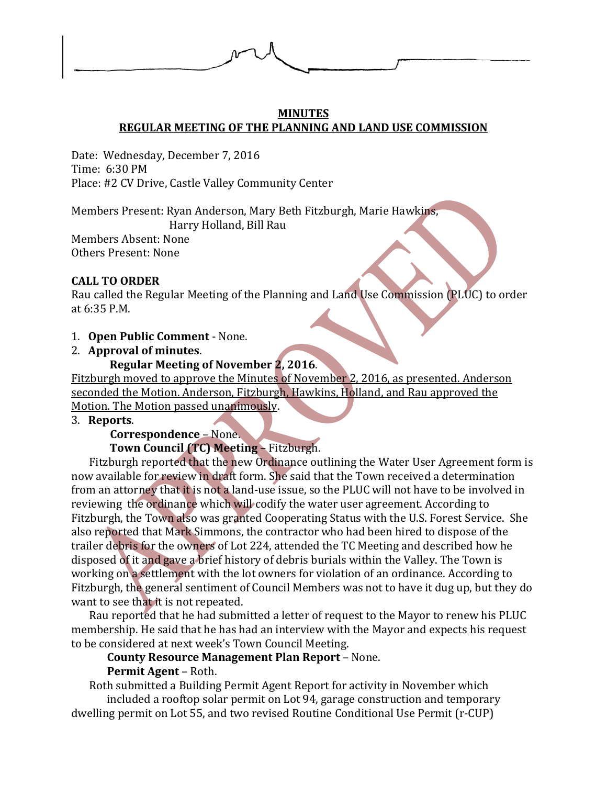

#### **MINUTES REGULAR MEETING OF THE PLANNING AND LAND USE COMMISSION**

Date: Wednesday, December 7, 2016 Time: 6:30 PM Place: #2 CV Drive, Castle Valley Community Center

Members Present: Ryan Anderson, Mary Beth Fitzburgh, Marie Hawkins,

Harry Holland, Bill Rau

Members Absent: None Others Present: None

### **CALL TO ORDER**

Rau called the Regular Meeting of the Planning and Land Use Commission (PLUC) to order at 6:35 P.M.

1. **Open Public Comment** - None.

## 2. **Approval of minutes**.

### **Regular Meeting of November 2, 2016**.

Fitzburgh moved to approve the Minutes of November 2, 2016, as presented. Anderson seconded the Motion. Anderson, Fitzburgh, Hawkins, Holland, and Rau approved the Motion. The Motion passed unanimously.

#### 3. **Reports**.

# **Correspondence** – None.

## **Town Council (TC) Meeting** – Fitzburgh.

Fitzburgh reported that the new Ordinance outlining the Water User Agreement form is now available for review in draft form. She said that the Town received a determination from an attorney that it is not a land-use issue, so the PLUC will not have to be involved in reviewing the ordinance which will codify the water user agreement. According to Fitzburgh, the Town also was granted Cooperating Status with the U.S. Forest Service. She also reported that Mark Simmons, the contractor who had been hired to dispose of the trailer debris for the owners of Lot 224, attended the TC Meeting and described how he disposed of it and gave a brief history of debris burials within the Valley. The Town is working on a settlement with the lot owners for violation of an ordinance. According to Fitzburgh, the general sentiment of Council Members was not to have it dug up, but they do want to see that it is not repeated.

Rau reported that he had submitted a letter of request to the Mayor to renew his PLUC membership. He said that he has had an interview with the Mayor and expects his request to be considered at next week's Town Council Meeting.

## **County Resource Management Plan Report** – None.

## **Permit Agent** – Roth.

Roth submitted a Building Permit Agent Report for activity in November which included a rooftop solar permit on Lot 94, garage construction and temporary dwelling permit on Lot 55, and two revised Routine Conditional Use Permit (r-CUP)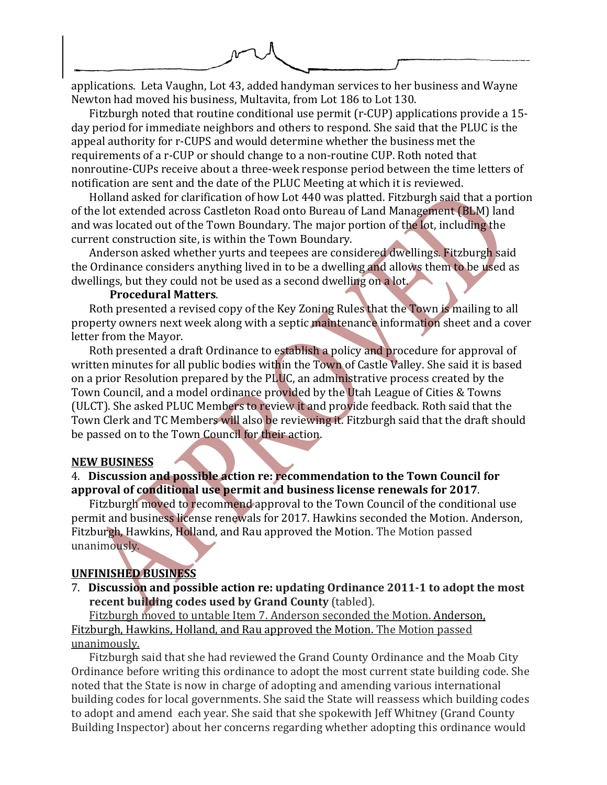

applications. Leta Vaughn, Lot 43, added handyman services to her business and Wayne Newton had moved his business, Multavita, from Lot 186 to Lot 130.

Fitzburgh noted that routine conditional use permit (r-CUP) applications provide a 15 day period for immediate neighbors and others to respond. She said that the PLUC is the appeal authority for r-CUPS and would determine whether the business met the requirements of a r-CUP or should change to a non-routine CUP. Roth noted that nonroutine-CUPs receive about a three-week response period between the time letters of notification are sent and the date of the PLUC Meeting at which it is reviewed.

Holland asked for clarification of how Lot 440 was platted. Fitzburgh said that a portion of the lot extended across Castleton Road onto Bureau of Land Management (BLM) land and was located out of the Town Boundary. The major portion of the lot, including the current construction site, is within the Town Boundary.

Anderson asked whether yurts and teepees are considered dwellings. Fitzburgh said the Ordinance considers anything lived in to be a dwelling and allows them to be used as dwellings, but they could not be used as a second dwelling on a lot.

#### **Procedural Matters**.

Roth presented a revised copy of the Key Zoning Rules that the Town is mailing to all property owners next week along with a septic maintenance information sheet and a cover letter from the Mayor.

Roth presented a draft Ordinance to establish a policy and procedure for approval of written minutes for all public bodies within the Town of Castle Valley. She said it is based on a prior Resolution prepared by the PLUC, an administrative process created by the Town Council, and a model ordinance provided by the Utah League of Cities & Towns (ULCT). She asked PLUC Members to review it and provide feedback. Roth said that the Town Clerk and TC Members will also be reviewing it. Fitzburgh said that the draft should be passed on to the Town Council for their action.

#### **NEW BUSINESS**

#### 4. **Discussion and possible action re: recommendation to the Town Council for approval of conditional use permit and business license renewals for 2017**.

Fitzburgh moved to recommend approval to the Town Council of the conditional use permit and business license renewals for 2017. Hawkins seconded the Motion. Anderson, Fitzburgh, Hawkins, Holland, and Rau approved the Motion. The Motion passed unanimously.

#### **UNFINISHED BUSINESS**

7. **Discussion and possible action re: updating Ordinance 2011-1 to adopt the most recent building codes used by Grand County** (tabled).

Fitzburgh moved to untable Item 7. Anderson seconded the Motion. Anderson, Fitzburgh, Hawkins, Holland, and Rau approved the Motion. The Motion passed unanimously.

Fitzburgh said that she had reviewed the Grand County Ordinance and the Moab City Ordinance before writing this ordinance to adopt the most current state building code. She noted that the State is now in charge of adopting and amending various international building codes for local governments. She said the State will reassess which building codes to adopt and amend each year. She said that she spokewith Jeff Whitney (Grand County Building Inspector) about her concerns regarding whether adopting this ordinance would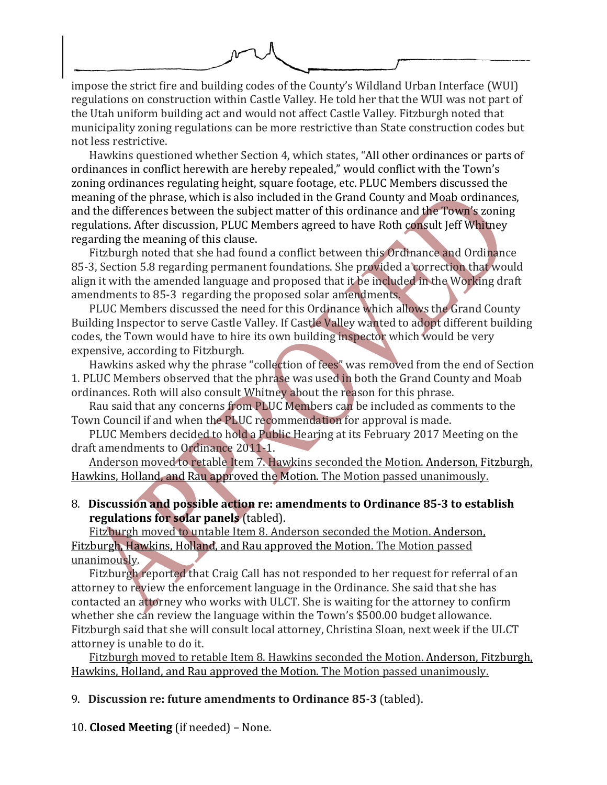

impose the strict fire and building codes of the County's Wildland Urban Interface (WUI) regulations on construction within Castle Valley. He told her that the WUI was not part of the Utah uniform building act and would not affect Castle Valley. Fitzburgh noted that municipality zoning regulations can be more restrictive than State construction codes but not less restrictive.

Hawkins questioned whether Section 4, which states, "All other ordinances or parts of ordinances in conflict herewith are hereby repealed," would conflict with the Town's zoning ordinances regulating height, square footage, etc. PLUC Members discussed the meaning of the phrase, which is also included in the Grand County and Moab ordinances, and the differences between the subject matter of this ordinance and the Town's zoning regulations. After discussion, PLUC Members agreed to have Roth consult Jeff Whitney regarding the meaning of this clause.

Fitzburgh noted that she had found a conflict between this Ordinance and Ordinance 85-3, Section 5.8 regarding permanent foundations. She provided a correction that would align it with the amended language and proposed that it be included in the Working draft amendments to 85-3 regarding the proposed solar amendments.

PLUC Members discussed the need for this Ordinance which allows the Grand County Building Inspector to serve Castle Valley. If Castle Valley wanted to adopt different building codes, the Town would have to hire its own building inspector which would be very expensive, according to Fitzburgh.

Hawkins asked why the phrase "collection of fees" was removed from the end of Section 1. PLUC Members observed that the phrase was used in both the Grand County and Moab ordinances. Roth will also consult Whitney about the reason for this phrase.

Rau said that any concerns from PLUC Members can be included as comments to the Town Council if and when the PLUC recommendation for approval is made.

PLUC Members decided to hold a Public Hearing at its February 2017 Meeting on the draft amendments to Ordinance 2011-1.

Anderson moved to retable Item 7. Hawkins seconded the Motion. Anderson, Fitzburgh, Hawkins, Holland, and Rau approved the Motion. The Motion passed unanimously.

8. **Discussion and possible action re: amendments to Ordinance 85-3 to establish regulations for solar panels** (tabled).

Fitzburgh moved to untable Item 8. Anderson seconded the Motion. Anderson, Fitzburgh, Hawkins, Holland, and Rau approved the Motion. The Motion passed unanimously.

Fitzburgh reported that Craig Call has not responded to her request for referral of an attorney to review the enforcement language in the Ordinance. She said that she has contacted an attorney who works with ULCT. She is waiting for the attorney to confirm whether she can review the language within the Town's \$500.00 budget allowance. Fitzburgh said that she will consult local attorney, Christina Sloan, next week if the ULCT attorney is unable to do it.

Fitzburgh moved to retable Item 8. Hawkins seconded the Motion. Anderson, Fitzburgh, Hawkins, Holland, and Rau approved the Motion. The Motion passed unanimously.

9. **Discussion re: future amendments to Ordinance 85-3** (tabled).

10. **Closed Meeting** (if needed) – None.